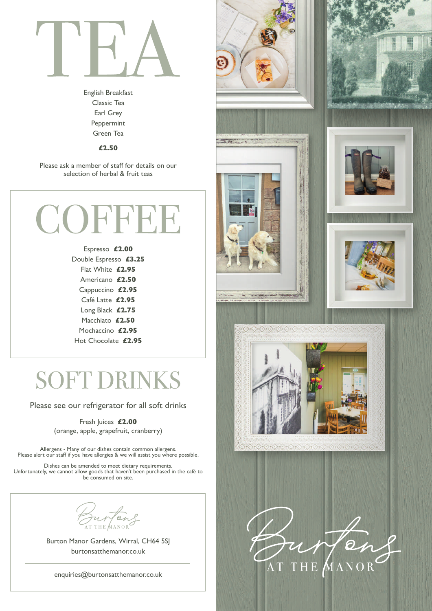

English Breakfast Classic Tea Earl Grey Peppermint Green Tea

£2.50

Please ask a member of staff for details on our selection of herbal & fruit teas



Espresso £2.00 Double Espresso £3.25 Flat White £2.95 Americano £2.50 Cappuccino £2.95 Café Latte £2.95 Long Black £2.75 Macchiato £2.50 Mochaccino £2.95 Hot Chocolate £2.95

### **SOFT DRINKS**

Please see our refrigerator for all soft drinks

Fresh Juices £2.00 (orange, apple, grapefruit, cranberry)

Allergens - Many of our dishes contain common allergens. Please alert our staff if you have allergies & we will assist you where possible.

Dishes can be amended to meet dietary requirements. Unfortunately, we cannot allow goods that haven't been purchased in the café to be consumed on site.

THE MANOR

Burton Manor Gardens, Wirral, CH64 5SJ burtonsatthemanor.co.uk

enquiries@burtonsatthemanor.co.uk













ふうううこうこうこうこうこう